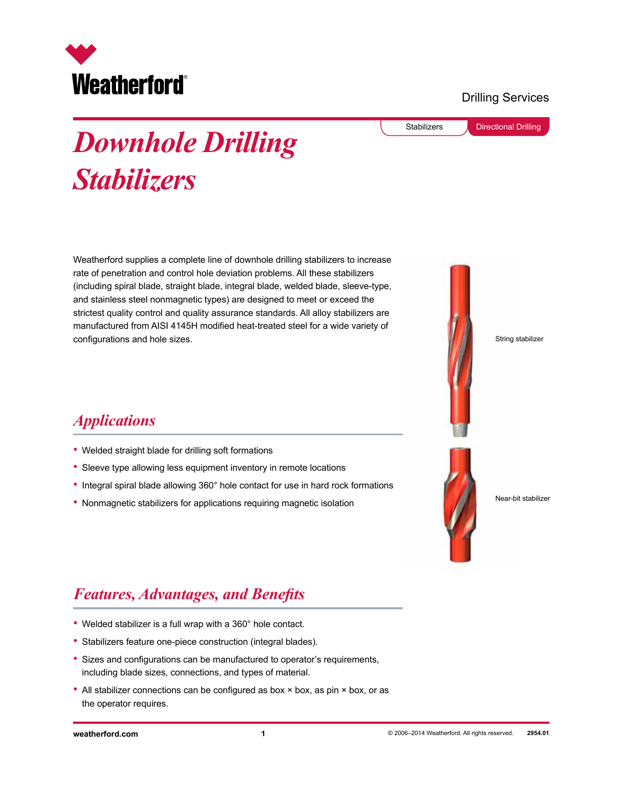

#### Drilling Services

Stabilizers **Directional Drilling** 

# *Downhole Drilling Stabilizers*

Weatherford supplies a complete line of downhole drilling stabilizers to increase rate of penetration and control hole deviation problems. All these stabilizers (including spiral blade, straight blade, integral blade, welded blade, sleeve-type, and stainless steel nonmagnetic types) are designed to meet or exceed the strictest quality control and quality assurance standards. All alloy stabilizers are manufactured from AISI 4145H modified heat-treated steel for a wide variety of configurations and hole sizes.



Near-bit stabilizer

#### *Applications*

- Welded straight blade for drilling soft formations
- Sleeve type allowing less equipment inventory in remote locations
- Integral spiral blade allowing 360° hole contact for use in hard rock formations
- Nonmagnetic stabilizers for applications requiring magnetic isolation

## *Features, Advantages, and Benefits*

- Welded stabilizer is a full wrap with a 360° hole contact.
- Stabilizers feature one-piece construction (integral blades).
- Sizes and configurations can be manufactured to operator's requirements, including blade sizes, connections, and types of material.
- All stabilizer connections can be configured as box × box, as pin × box, or as the operator requires.

**weatherford.com 1**